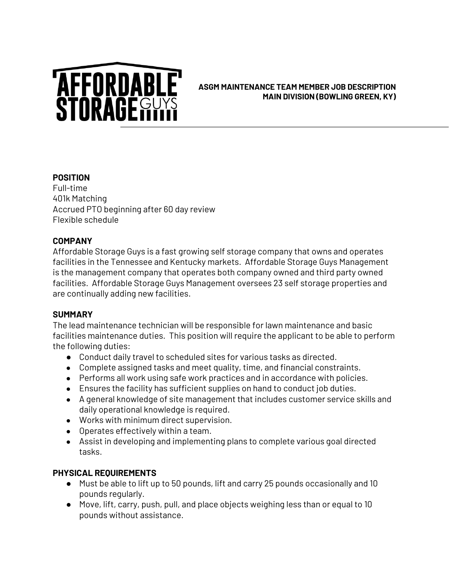# **AFFORDABLE**<br>STORAGEGUYS

### **ASGM MAINTENANCE TEAM MEMBER JOB DESCRIPTION MAIN DIVISION (BOWLING GREEN, KY)**

## **POSITION**

Full-time 401k Matching Accrued PTO beginning after 60 day review Flexible schedule

## **COMPANY**

Affordable Storage Guys is a fast growing self storage company that owns and operates facilities in the Tennessee and Kentucky markets. Affordable Storage Guys Management is the management company that operates both company owned and third party owned facilities. Affordable Storage Guys Management oversees 23 self storage properties and are continually adding new facilities.

### **SUMMARY**

The lead maintenance technician will be responsible for lawn maintenance and basic facilities maintenance duties. This position will require the applicant to be able to perform the following duties:

- Conduct daily travel to scheduled sites for various tasks as directed.
- Complete assigned tasks and meet quality, time, and financial constraints.
- Performs all work using safe work practices and in accordance with policies.
- Ensures the facility has sufficient supplies on hand to conduct job duties.
- A general knowledge of site management that includes customer service skills and daily operational knowledge is required.
- Works with minimum direct supervision.
- Operates effectively within a team.
- Assist in developing and implementing plans to complete various goal directed tasks.

# **PHYSICAL REQUIREMENTS**

- Must be able to lift up to 50 pounds, lift and carry 25 pounds occasionally and 10 pounds regularly.
- Move, lift, carry, push, pull, and place objects weighing less than or equal to 10 pounds without assistance.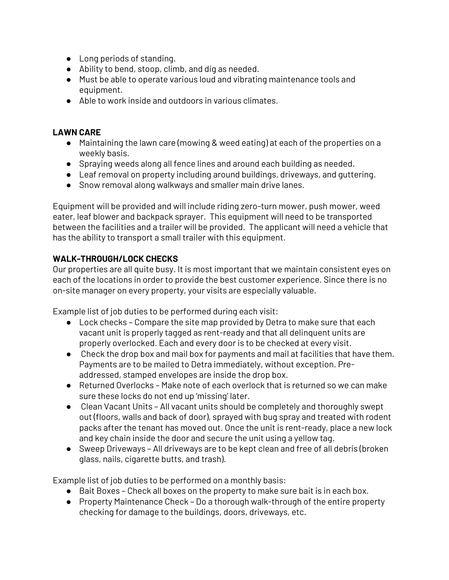- Long periods of standing.
- Ability to bend, stoop, climb, and dig as needed.
- Must be able to operate various loud and vibrating maintenance tools and equipment.
- Able to work inside and outdoors in various climates.

### **LAWN CARE**

- Maintaining the lawn care (mowing & weed eating) at each of the properties on a weekly basis.
- Spraying weeds along all fence lines and around each building as needed.
- Leaf removal on property including around buildings, driveways, and guttering.
- Snow removal along walkways and smaller main drive lanes.

Equipment will be provided and will include riding zero-turn mower, push mower, weed eater, leaf blower and backpack sprayer. This equipment will need to be transported between the facilities and a trailer will be provided. The applicant will need a vehicle that has the ability to transport a small trailer with this equipment.

# **WALK-THROUGH/LOCK CHECKS**

Our properties are all quite busy. It is most important that we maintain consistent eyes on each of the locations in order to provide the best customer experience. Since there is no on-site manager on every property, your visits are especially valuable.

Example list of job duties to be performed during each visit:

- Lock checks Compare the site map provided by Detra to make sure that each vacant unit is properly tagged as rent-ready and that all delinquent units are properly overlocked. Each and every door is to be checked at every visit.
- Check the drop box and mail box for payments and mail at facilities that have them. Payments are to be mailed to Detra immediately, without exception. Preaddressed, stamped envelopes are inside the drop box.
- Returned Overlocks Make note of each overlock that is returned so we can make sure these locks do not end up 'missing' later.
- Clean Vacant Units All vacant units should be completely and thoroughly swept out (floors, walls and back of door), sprayed with bug spray and treated with rodent packs after the tenant has moved out. Once the unit is rent-ready, place a new lock and key chain inside the door and secure the unit using a yellow tag.
- Sweep Driveways All driveways are to be kept clean and free of all debris (broken glass, nails, cigarette butts, and trash).

Example list of job duties to be performed on a monthly basis:

- Bait Boxes Check all boxes on the property to make sure bait is in each box.
- Property Maintenance Check Do a thorough walk-through of the entire property checking for damage to the buildings, doors, driveways, etc.